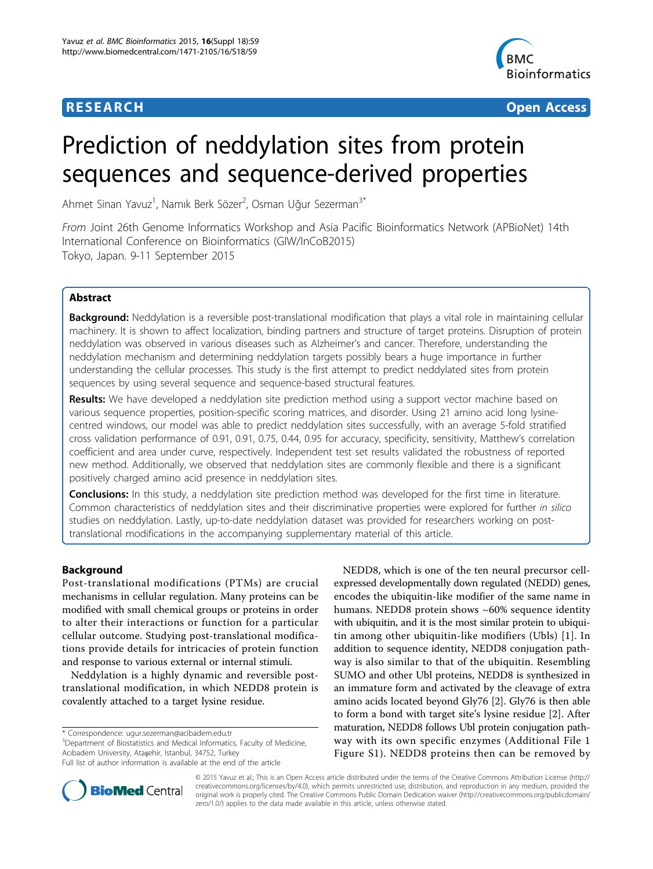

**RESEARCH CONTROL** CONTROL CONTROL CONTROL CONTROL CONTROL CONTROL CONTROL CONTROL CONTROL CONTROL CONTROL CONTROL CONTROL CONTROL CONTROL CONTROL CONTROL CONTROL CONTROL CONTROL CONTROL CONTROL CONTROL CONTROL CONTROL CON

# Prediction of neddylation sites from protein sequences and sequence-derived properties

Ahmet Sinan Yavuz<sup>1</sup>, Namık Berk Sözer<sup>2</sup>, Osman Uğur Sezerman<sup>3\*</sup>

From Joint 26th Genome Informatics Workshop and Asia Pacific Bioinformatics Network (APBioNet) 14th International Conference on Bioinformatics (GIW/InCoB2015) Tokyo, Japan. 9-11 September 2015

# Abstract

**Background:** Neddylation is a reversible post-translational modification that plays a vital role in maintaining cellular machinery. It is shown to affect localization, binding partners and structure of target proteins. Disruption of protein neddylation was observed in various diseases such as Alzheimer's and cancer. Therefore, understanding the neddylation mechanism and determining neddylation targets possibly bears a huge importance in further understanding the cellular processes. This study is the first attempt to predict neddylated sites from protein sequences by using several sequence and sequence-based structural features.

Results: We have developed a neddylation site prediction method using a support vector machine based on various sequence properties, position-specific scoring matrices, and disorder. Using 21 amino acid long lysinecentred windows, our model was able to predict neddylation sites successfully, with an average 5-fold stratified cross validation performance of 0.91, 0.91, 0.75, 0.44, 0.95 for accuracy, specificity, sensitivity, Matthew's correlation coefficient and area under curve, respectively. Independent test set results validated the robustness of reported new method. Additionally, we observed that neddylation sites are commonly flexible and there is a significant positively charged amino acid presence in neddylation sites.

**Conclusions:** In this study, a neddylation site prediction method was developed for the first time in literature. Common characteristics of neddylation sites and their discriminative properties were explored for further in silico studies on neddylation. Lastly, up-to-date neddylation dataset was provided for researchers working on posttranslational modifications in the accompanying supplementary material of this article.

# Background

Post-translational modifications (PTMs) are crucial mechanisms in cellular regulation. Many proteins can be modified with small chemical groups or proteins in order to alter their interactions or function for a particular cellular outcome. Studying post-translational modifications provide details for intricacies of protein function and response to various external or internal stimuli.

Neddylation is a highly dynamic and reversible posttranslational modification, in which NEDD8 protein is covalently attached to a target lysine residue.

NEDD8, which is one of the ten neural precursor cellexpressed developmentally down regulated (NEDD) genes, encodes the ubiquitin-like modifier of the same name in humans. NEDD8 protein shows ~60% sequence identity with ubiquitin, and it is the most similar protein to ubiquitin among other ubiquitin-like modifiers (Ubls) [[1\]](#page-9-0). In addition to sequence identity, NEDD8 conjugation pathway is also similar to that of the ubiquitin. Resembling SUMO and other Ubl proteins, NEDD8 is synthesized in an immature form and activated by the cleavage of extra amino acids located beyond Gly76 [[2](#page-9-0)]. Gly76 is then able to form a bond with target site's lysine residue [[2\]](#page-9-0). After maturation, NEDD8 follows Ubl protein conjugation pathway with its own specific enzymes (Additional File [1](#page-9-0) Figure S1). NEDD8 proteins then can be removed by



© 2015 Yavuz et al.; This is an Open Access article distributed under the terms of the Creative Commons Attribution License [\(http://](http://creativecommons.org/licenses/by/4.0) [creativecommons.org/licenses/by/4.0](http://creativecommons.org/licenses/by/4.0)), which permits unrestricted use, distribution, and reproduction in any medium, provided the original work is properly cited. The Creative Commons Public Domain Dedication waiver ([http://creativecommons.org/publicdomain/](http://creativecommons.org/publicdomain/zero/1.0/) [zero/1.0/](http://creativecommons.org/publicdomain/zero/1.0/)) applies to the data made available in this article, unless otherwise stated.

<sup>\*</sup> Correspondence: [ugur.sezerman@acibadem.edu.tr](mailto:ugur.sezerman@acibadem.edu.tr)

<sup>&</sup>lt;sup>3</sup>Department of Biostatistics and Medical Informatics, Faculty of Medicine, Acıbadem University, Ataşehir, Istanbul, 34752, Turkey

Full list of author information is available at the end of the article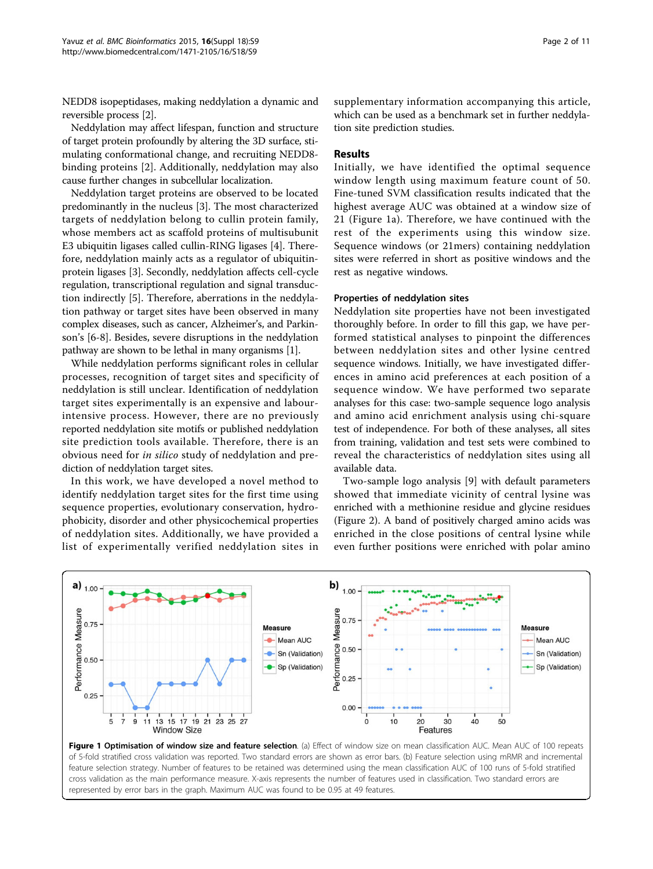<span id="page-1-0"></span>NEDD8 isopeptidases, making neddylation a dynamic and reversible process [[2](#page-9-0)].

Neddylation may affect lifespan, function and structure of target protein profoundly by altering the 3D surface, stimulating conformational change, and recruiting NEDD8 binding proteins [[2\]](#page-9-0). Additionally, neddylation may also cause further changes in subcellular localization.

Neddylation target proteins are observed to be located predominantly in the nucleus [[3\]](#page-9-0). The most characterized targets of neddylation belong to cullin protein family, whose members act as scaffold proteins of multisubunit E3 ubiquitin ligases called cullin-RING ligases [[4\]](#page-9-0). Therefore, neddylation mainly acts as a regulator of ubiquitinprotein ligases [[3\]](#page-9-0). Secondly, neddylation affects cell-cycle regulation, transcriptional regulation and signal transduction indirectly [[5\]](#page-10-0). Therefore, aberrations in the neddylation pathway or target sites have been observed in many complex diseases, such as cancer, Alzheimer's, and Parkinson's [[6-8](#page-10-0)]. Besides, severe disruptions in the neddylation pathway are shown to be lethal in many organisms [\[1](#page-9-0)].

While neddylation performs significant roles in cellular processes, recognition of target sites and specificity of neddylation is still unclear. Identification of neddylation target sites experimentally is an expensive and labourintensive process. However, there are no previously reported neddylation site motifs or published neddylation site prediction tools available. Therefore, there is an obvious need for in silico study of neddylation and prediction of neddylation target sites.

In this work, we have developed a novel method to identify neddylation target sites for the first time using sequence properties, evolutionary conservation, hydrophobicity, disorder and other physicochemical properties of neddylation sites. Additionally, we have provided a list of experimentally verified neddylation sites in supplementary information accompanying this article, which can be used as a benchmark set in further neddylation site prediction studies.

#### Results

Initially, we have identified the optimal sequence window length using maximum feature count of 50. Fine-tuned SVM classification results indicated that the highest average AUC was obtained at a window size of 21 (Figure 1a). Therefore, we have continued with the rest of the experiments using this window size. Sequence windows (or 21mers) containing neddylation sites were referred in short as positive windows and the rest as negative windows.

#### Properties of neddylation sites

Neddylation site properties have not been investigated thoroughly before. In order to fill this gap, we have performed statistical analyses to pinpoint the differences between neddylation sites and other lysine centred sequence windows. Initially, we have investigated differences in amino acid preferences at each position of a sequence window. We have performed two separate analyses for this case: two-sample sequence logo analysis and amino acid enrichment analysis using chi-square test of independence. For both of these analyses, all sites from training, validation and test sets were combined to reveal the characteristics of neddylation sites using all available data.

Two-sample logo analysis [\[9](#page-10-0)] with default parameters showed that immediate vicinity of central lysine was enriched with a methionine residue and glycine residues (Figure [2\)](#page-2-0). A band of positively charged amino acids was enriched in the close positions of central lysine while even further positions were enriched with polar amino



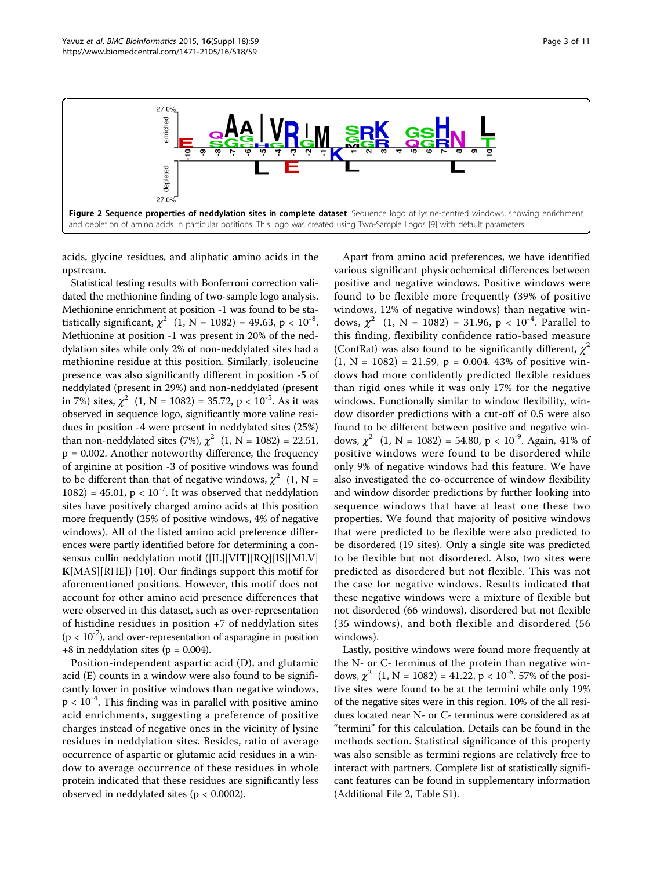<span id="page-2-0"></span>

acids, glycine residues, and aliphatic amino acids in the upstream.

Statistical testing results with Bonferroni correction validated the methionine finding of two-sample logo analysis. Methionine enrichment at position -1 was found to be statistically significant,  $\chi^2$  (1, N = 1082) = 49.63, p < 10<sup>-8</sup>. Methionine at position -1 was present in 20% of the neddylation sites while only 2% of non-neddylated sites had a methionine residue at this position. Similarly, isoleucine presence was also significantly different in position -5 of neddylated (present in 29%) and non-neddylated (present in 7%) sites,  $\chi^2$  (1, N = 1082) = 35.72, p < 10<sup>-5</sup>. As it was observed in sequence logo, significantly more valine residues in position -4 were present in neddylated sites (25%) than non-neddylated sites (7%),  $\chi^2$  (1, N = 1082) = 22.51,  $p = 0.002$ . Another noteworthy difference, the frequency of arginine at position -3 of positive windows was found to be different than that of negative windows,  $\chi^2$  (1, N = 1082) = 45.01,  $p < 10^{-7}$ . It was observed that neddylation sites have positively charged amino acids at this position more frequently (25% of positive windows, 4% of negative windows). All of the listed amino acid preference differences were partly identified before for determining a consensus cullin neddylation motif ([IL][VIT][RQ][IS][MLV] K[MAS][RHE]) [[10\]](#page-10-0). Our findings support this motif for aforementioned positions. However, this motif does not account for other amino acid presence differences that were observed in this dataset, such as over-representation of histidine residues in position +7 of neddylation sites  $(p < 10^{-7})$ , and over-representation of asparagine in position  $+8$  in neddylation sites ( $p = 0.004$ ).

Position-independent aspartic acid (D), and glutamic acid (E) counts in a window were also found to be significantly lower in positive windows than negative windows,  $p < 10^{-4}$ . This finding was in parallel with positive amino acid enrichments, suggesting a preference of positive charges instead of negative ones in the vicinity of lysine residues in neddylation sites. Besides, ratio of average occurrence of aspartic or glutamic acid residues in a window to average occurrence of these residues in whole protein indicated that these residues are significantly less observed in neddylated sites ( $p < 0.0002$ ).

Apart from amino acid preferences, we have identified various significant physicochemical differences between positive and negative windows. Positive windows were found to be flexible more frequently (39% of positive windows, 12% of negative windows) than negative windows,  $\chi^2$  (1, N = 1082) = 31.96, p < 10<sup>-4</sup>. Parallel to this finding, flexibility confidence ratio-based measure (ConfRat) was also found to be significantly different,  $\chi^2$  $(1, N = 1082) = 21.59$ ,  $p = 0.004$ . 43% of positive windows had more confidently predicted flexible residues than rigid ones while it was only 17% for the negative windows. Functionally similar to window flexibility, window disorder predictions with a cut-off of 0.5 were also found to be different between positive and negative windows,  $\chi^2$  (1, N = 1082) = 54.80, p < 10<sup>-9</sup>. Again, 41% of positive windows were found to be disordered while only 9% of negative windows had this feature. We have also investigated the co-occurrence of window flexibility and window disorder predictions by further looking into sequence windows that have at least one these two properties. We found that majority of positive windows that were predicted to be flexible were also predicted to be disordered (19 sites). Only a single site was predicted to be flexible but not disordered. Also, two sites were predicted as disordered but not flexible. This was not the case for negative windows. Results indicated that these negative windows were a mixture of flexible but not disordered (66 windows), disordered but not flexible (35 windows), and both flexible and disordered (56 windows).

Lastly, positive windows were found more frequently at the N- or C- terminus of the protein than negative windows,  $\chi^2$  (1, N = 1082) = 41.22, p < 10<sup>-6</sup>. 57% of the positive sites were found to be at the termini while only 19% of the negative sites were in this region. 10% of the all residues located near N- or C- terminus were considered as at "termini" for this calculation. Details can be found in the methods section. Statistical significance of this property was also sensible as termini regions are relatively free to interact with partners. Complete list of statistically significant features can be found in supplementary information (Additional File [2](#page-9-0), Table S1).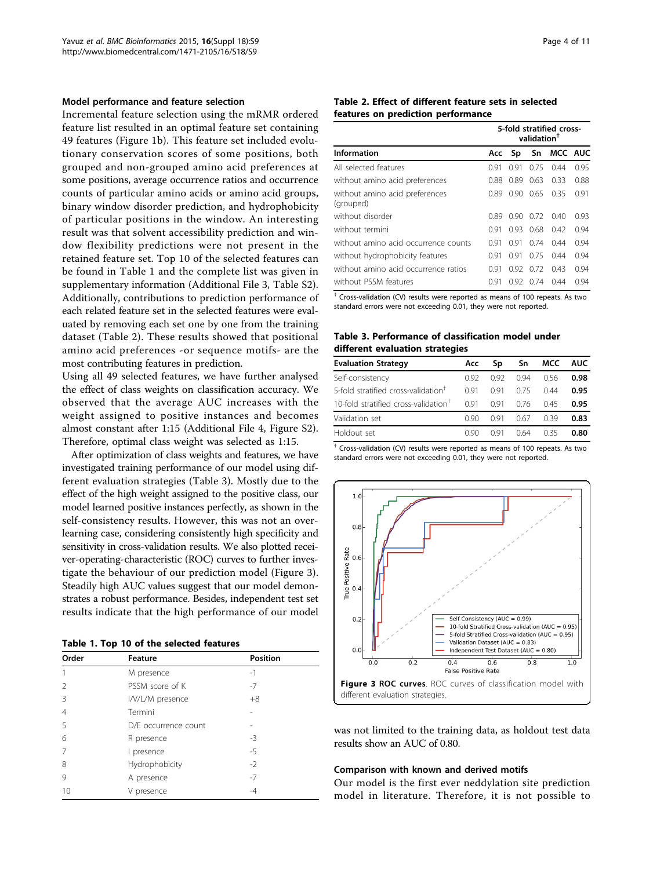#### Model performance and feature selection

Incremental feature selection using the mRMR ordered feature list resulted in an optimal feature set containing 49 features (Figure [1b\)](#page-1-0). This feature set included evolutionary conservation scores of some positions, both grouped and non-grouped amino acid preferences at some positions, average occurrence ratios and occurrence counts of particular amino acids or amino acid groups, binary window disorder prediction, and hydrophobicity of particular positions in the window. An interesting result was that solvent accessibility prediction and window flexibility predictions were not present in the retained feature set. Top 10 of the selected features can be found in Table 1 and the complete list was given in supplementary information (Additional File [3](#page-9-0), Table S2). Additionally, contributions to prediction performance of each related feature set in the selected features were evaluated by removing each set one by one from the training dataset (Table 2). These results showed that positional amino acid preferences -or sequence motifs- are the most contributing features in prediction.

Using all 49 selected features, we have further analysed the effect of class weights on classification accuracy. We observed that the average AUC increases with the weight assigned to positive instances and becomes almost constant after 1:15 (Additional File [4,](#page-9-0) Figure S2). Therefore, optimal class weight was selected as 1:15.

After optimization of class weights and features, we have investigated training performance of our model using different evaluation strategies (Table 3). Mostly due to the effect of the high weight assigned to the positive class, our model learned positive instances perfectly, as shown in the self-consistency results. However, this was not an overlearning case, considering consistently high specificity and sensitivity in cross-validation results. We also plotted receiver-operating-characteristic (ROC) curves to further investigate the behaviour of our prediction model (Figure 3). Steadily high AUC values suggest that our model demonstrates a robust performance. Besides, independent test set results indicate that the high performance of our model

|  |  |  |  |  |  | Table 1. Top 10 of the selected features |  |
|--|--|--|--|--|--|------------------------------------------|--|
|--|--|--|--|--|--|------------------------------------------|--|

| Order          | Feature              | <b>Position</b> |
|----------------|----------------------|-----------------|
|                | M presence           | -1              |
| 2              | PSSM score of K      | -7              |
| 3              | I/V/L/M presence     | $+8$            |
| $\overline{4}$ | Termini              |                 |
| 5              | D/E occurrence count |                 |
| 6              | R presence           | -3              |
| 7              | I presence           | -5              |
| 8              | Hydrophobicity       | $-2$            |
| 9              | A presence           | $-7$            |
| 10             | V presence           | $-4$            |

#### Table 2. Effect of different feature sets in selected features on prediction performance

|                                             | 5-fold stratified cross-<br>validation <sup>+</sup> |        |                   |            |      |
|---------------------------------------------|-----------------------------------------------------|--------|-------------------|------------|------|
| Information                                 |                                                     | Acc Sp |                   | Sn MCC AUC |      |
| All selected features                       | 0.91                                                | 091    | 0.75              | 0.44       | 0.95 |
| without amino acid preferences              | 0.88                                                | 0.89   | 0.63              | 0.33       | 0.88 |
| without amino acid preferences<br>(grouped) | 0.89                                                |        | $0.90 \quad 0.65$ | 0.35       | 0.91 |
| without disorder                            | 0.89                                                | O 90   | 0.72              | 0.40       | 0.93 |
| without termini                             | 091                                                 | 0.93   | 0.68              | 042        | 0.94 |
| without amino acid occurrence counts        | O 91                                                | 0.91   | 0.74              | 0.44       | 0.94 |
| without hydrophobicity features             | 0.91                                                | 0.91   | 0.75              | 0.44       | 0.94 |
| without amino acid occurrence ratios        | 0.91                                                | 0.92   | 0.72              | 0.43       | 0.94 |
| without PSSM features                       | (1.91)                                              | 0.92   | 0.74              | 0.44       | 0.94 |

† Cross-validation (CV) results were reported as means of 100 repeats. As two standard errors were not exceeding 0.01, they were not reported.

# Table 3. Performance of classification model under different evaluation strategies

| <b>Evaluation Strategy</b>                       | Acc  | Sp   | Sn   | MCC  | <b>AUC</b> |
|--------------------------------------------------|------|------|------|------|------------|
| Self-consistency                                 | 0.92 | 0.92 | 0.94 | 056  | 0.98       |
| 5-fold stratified cross-validation <sup>†</sup>  | 0.91 | O 91 | 0.75 | 0.44 | 0.95       |
| 10-fold stratified cross-validation <sup>†</sup> | 0.91 | O 91 | 0.76 | 045  | 0.95       |
| Validation set                                   | O 90 | O 91 | 067  | O 39 | 0.83       |
| Holdout set                                      | 0.90 | N 91 | 064  | በ 35 | 0.80       |

† Cross-validation (CV) results were reported as means of 100 repeats. As two standard errors were not exceeding 0.01, they were not reported.



was not limited to the training data, as holdout test data results show an AUC of 0.80.

#### Comparison with known and derived motifs

Our model is the first ever neddylation site prediction model in literature. Therefore, it is not possible to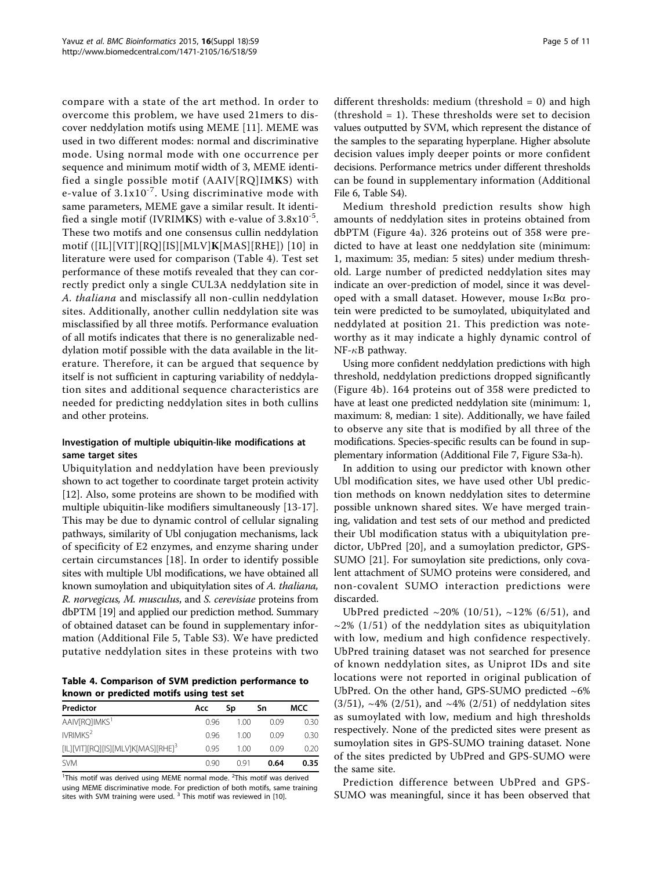compare with a state of the art method. In order to overcome this problem, we have used 21mers to discover neddylation motifs using MEME [\[11](#page-10-0)]. MEME was used in two different modes: normal and discriminative mode. Using normal mode with one occurrence per sequence and minimum motif width of 3, MEME identified a single possible motif (AAIV[RQ]IMKS) with e-value of  $3.1x10^{-7}$ . Using discriminative mode with same parameters, MEME gave a similar result. It identified a single motif (IVRIMKS) with e-value of  $3.8 \times 10^{-5}$ . These two motifs and one consensus cullin neddylation motif ([IL][VIT][RQ][IS][MLV]K[MAS][RHE]) [[10\]](#page-10-0) in literature were used for comparison (Table 4). Test set performance of these motifs revealed that they can correctly predict only a single CUL3A neddylation site in A. thaliana and misclassify all non-cullin neddylation sites. Additionally, another cullin neddylation site was misclassified by all three motifs. Performance evaluation of all motifs indicates that there is no generalizable neddylation motif possible with the data available in the literature. Therefore, it can be argued that sequence by itself is not sufficient in capturing variability of neddylation sites and additional sequence characteristics are needed for predicting neddylation sites in both cullins and other proteins.

# Investigation of multiple ubiquitin-like modifications at same target sites

Ubiquitylation and neddylation have been previously shown to act together to coordinate target protein activity [[12\]](#page-10-0). Also, some proteins are shown to be modified with multiple ubiquitin-like modifiers simultaneously [13-17]. This may be due to dynamic control of cellular signaling pathways, similarity of Ubl conjugation mechanisms, lack of specificity of E2 enzymes, and enzyme sharing under certain circumstances [[18\]](#page-10-0). In order to identify possible sites with multiple Ubl modifications, we have obtained all known sumoylation and ubiquitylation sites of A. thaliana, R. norvegicus, M. musculus, and S. cerevisiae proteins from dbPTM [\[19\]](#page-10-0) and applied our prediction method. Summary of obtained dataset can be found in supplementary information (Additional File [5](#page-9-0), Table S3). We have predicted putative neddylation sites in these proteins with two

Table 4. Comparison of SVM prediction performance to known or predicted motifs using test set

| Predictor                                      | Acc  | Sp   | Sn   | MCC  |
|------------------------------------------------|------|------|------|------|
| AAIV[RQ]IMKS <sup>1</sup>                      | 0.96 | 1.00 | 0.09 | 0.30 |
| INRIMKS <sup>2</sup>                           | 096  | 1.00 | 0.09 | 0.30 |
| [IL][VIT][RQ][IS][MLV]K[MAS][RHE] <sup>3</sup> | 0.95 | 1.00 | 0.09 | 0.20 |
| <b>SVM</b>                                     | O 90 | 0.91 | 0.64 | 0.35 |

<sup>1</sup>This motif was derived using MEME normal mode. <sup>2</sup>This motif was derived using MEME discriminative mode. For prediction of both motifs, same training sites with SVM training were used.  $3$  This motif was reviewed in [[10](#page-10-0)].

different thresholds: medium (threshold  $= 0$ ) and high (threshold  $= 1$ ). These thresholds were set to decision values outputted by SVM, which represent the distance of the samples to the separating hyperplane. Higher absolute decision values imply deeper points or more confident decisions. Performance metrics under different thresholds can be found in supplementary information (Additional File [6](#page-9-0), Table S4).

Medium threshold prediction results show high amounts of neddylation sites in proteins obtained from dbPTM (Figure [4a\)](#page-5-0). 326 proteins out of 358 were predicted to have at least one neddylation site (minimum: 1, maximum: 35, median: 5 sites) under medium threshold. Large number of predicted neddylation sites may indicate an over-prediction of model, since it was developed with a small dataset. However, mouse  $I\kappa B\alpha$  protein were predicted to be sumoylated, ubiquitylated and neddylated at position 21. This prediction was noteworthy as it may indicate a highly dynamic control of  $NF-\kappa B$  pathway.

Using more confident neddylation predictions with high threshold, neddylation predictions dropped significantly (Figure [4b](#page-5-0)). 164 proteins out of 358 were predicted to have at least one predicted neddylation site (minimum: 1, maximum: 8, median: 1 site). Additionally, we have failed to observe any site that is modified by all three of the modifications. Species-specific results can be found in supplementary information (Additional File [7](#page-9-0), Figure S3a-h).

In addition to using our predictor with known other Ubl modification sites, we have used other Ubl prediction methods on known neddylation sites to determine possible unknown shared sites. We have merged training, validation and test sets of our method and predicted their Ubl modification status with a ubiquitylation predictor, UbPred [\[20](#page-10-0)], and a sumoylation predictor, GPS-SUMO [[21\]](#page-10-0). For sumoylation site predictions, only covalent attachment of SUMO proteins were considered, and non-covalent SUMO interaction predictions were discarded.

UbPred predicted  $~20\%$  (10/51),  $~12\%$  (6/51), and  $\sim$ 2% (1/51) of the neddylation sites as ubiquitylation with low, medium and high confidence respectively. UbPred training dataset was not searched for presence of known neddylation sites, as Uniprot IDs and site locations were not reported in original publication of UbPred. On the other hand, GPS-SUMO predicted  $~6\%$  $(3/51)$ , ~4%  $(2/51)$ , and ~4%  $(2/51)$  of neddylation sites as sumoylated with low, medium and high thresholds respectively. None of the predicted sites were present as sumoylation sites in GPS-SUMO training dataset. None of the sites predicted by UbPred and GPS-SUMO were the same site.

Prediction difference between UbPred and GPS-SUMO was meaningful, since it has been observed that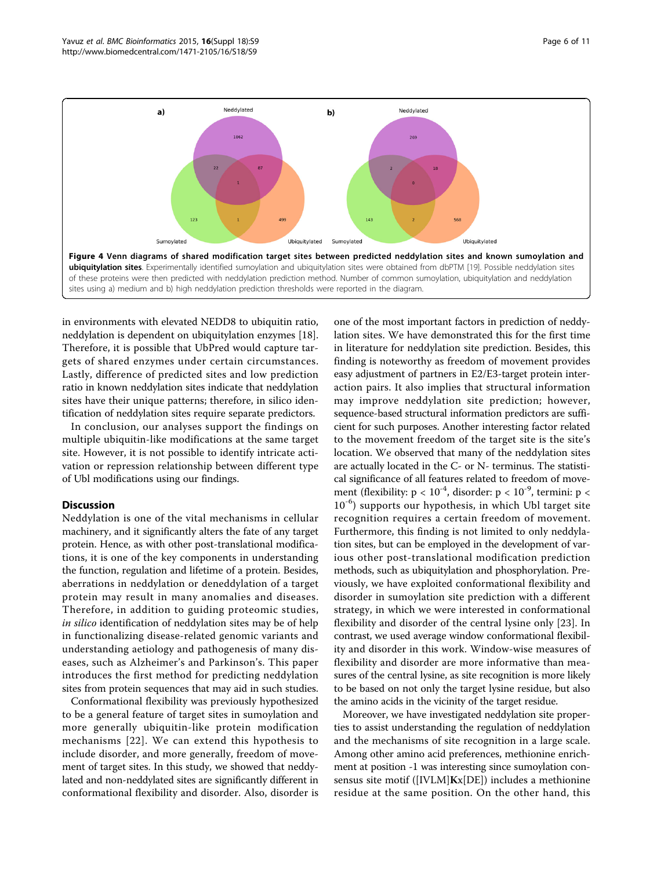<span id="page-5-0"></span>

in environments with elevated NEDD8 to ubiquitin ratio, neddylation is dependent on ubiquitylation enzymes [\[18](#page-10-0)]. Therefore, it is possible that UbPred would capture targets of shared enzymes under certain circumstances. Lastly, difference of predicted sites and low prediction ratio in known neddylation sites indicate that neddylation sites have their unique patterns; therefore, in silico identification of neddylation sites require separate predictors.

In conclusion, our analyses support the findings on multiple ubiquitin-like modifications at the same target site. However, it is not possible to identify intricate activation or repression relationship between different type of Ubl modifications using our findings.

# **Discussion**

Neddylation is one of the vital mechanisms in cellular machinery, and it significantly alters the fate of any target protein. Hence, as with other post-translational modifications, it is one of the key components in understanding the function, regulation and lifetime of a protein. Besides, aberrations in neddylation or deneddylation of a target protein may result in many anomalies and diseases. Therefore, in addition to guiding proteomic studies, in silico identification of neddylation sites may be of help in functionalizing disease-related genomic variants and understanding aetiology and pathogenesis of many diseases, such as Alzheimer's and Parkinson's. This paper introduces the first method for predicting neddylation sites from protein sequences that may aid in such studies.

Conformational flexibility was previously hypothesized to be a general feature of target sites in sumoylation and more generally ubiquitin-like protein modification mechanisms [[22\]](#page-10-0). We can extend this hypothesis to include disorder, and more generally, freedom of movement of target sites. In this study, we showed that neddylated and non-neddylated sites are significantly different in conformational flexibility and disorder. Also, disorder is

one of the most important factors in prediction of neddylation sites. We have demonstrated this for the first time in literature for neddylation site prediction. Besides, this finding is noteworthy as freedom of movement provides easy adjustment of partners in E2/E3-target protein interaction pairs. It also implies that structural information may improve neddylation site prediction; however, sequence-based structural information predictors are sufficient for such purposes. Another interesting factor related to the movement freedom of the target site is the site's location. We observed that many of the neddylation sites are actually located in the C- or N- terminus. The statistical significance of all features related to freedom of movement (flexibility:  $p < 10^{-4}$ , disorder:  $p < 10^{-9}$ , termini:  $p <$  $10^{-6}$ ) supports our hypothesis, in which Ubl target site recognition requires a certain freedom of movement. Furthermore, this finding is not limited to only neddylation sites, but can be employed in the development of various other post-translational modification prediction methods, such as ubiquitylation and phosphorylation. Previously, we have exploited conformational flexibility and disorder in sumoylation site prediction with a different strategy, in which we were interested in conformational flexibility and disorder of the central lysine only [\[23](#page-10-0)]. In contrast, we used average window conformational flexibility and disorder in this work. Window-wise measures of flexibility and disorder are more informative than measures of the central lysine, as site recognition is more likely to be based on not only the target lysine residue, but also the amino acids in the vicinity of the target residue.

Moreover, we have investigated neddylation site properties to assist understanding the regulation of neddylation and the mechanisms of site recognition in a large scale. Among other amino acid preferences, methionine enrichment at position -1 was interesting since sumoylation consensus site motif ([IVLM]Kx[DE]) includes a methionine residue at the same position. On the other hand, this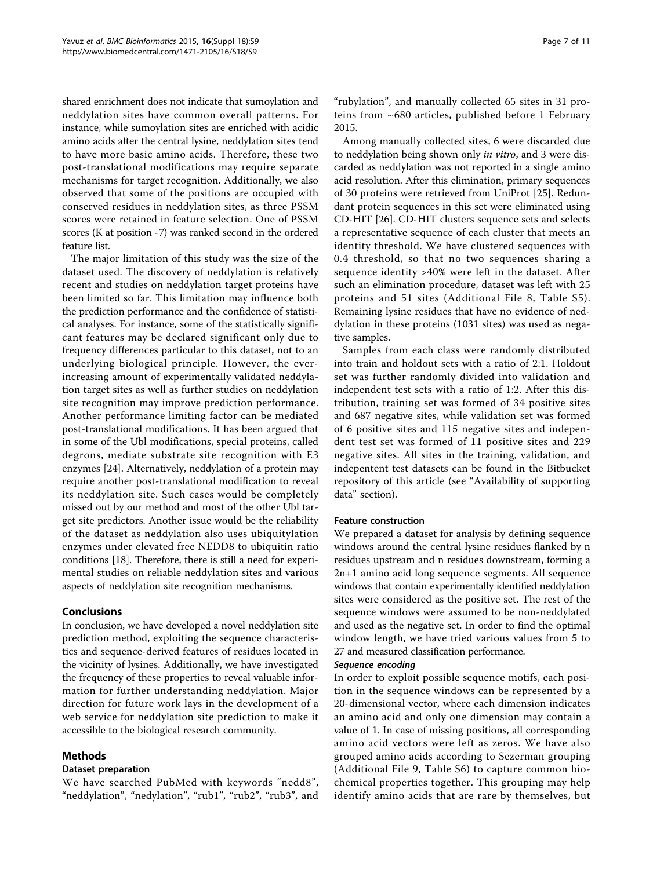shared enrichment does not indicate that sumoylation and neddylation sites have common overall patterns. For instance, while sumoylation sites are enriched with acidic amino acids after the central lysine, neddylation sites tend to have more basic amino acids. Therefore, these two post-translational modifications may require separate mechanisms for target recognition. Additionally, we also observed that some of the positions are occupied with conserved residues in neddylation sites, as three PSSM scores were retained in feature selection. One of PSSM scores (K at position -7) was ranked second in the ordered feature list.

The major limitation of this study was the size of the dataset used. The discovery of neddylation is relatively recent and studies on neddylation target proteins have been limited so far. This limitation may influence both the prediction performance and the confidence of statistical analyses. For instance, some of the statistically significant features may be declared significant only due to frequency differences particular to this dataset, not to an underlying biological principle. However, the everincreasing amount of experimentally validated neddylation target sites as well as further studies on neddylation site recognition may improve prediction performance. Another performance limiting factor can be mediated post-translational modifications. It has been argued that in some of the Ubl modifications, special proteins, called degrons, mediate substrate site recognition with E3 enzymes [[24](#page-10-0)]. Alternatively, neddylation of a protein may require another post-translational modification to reveal its neddylation site. Such cases would be completely missed out by our method and most of the other Ubl target site predictors. Another issue would be the reliability of the dataset as neddylation also uses ubiquitylation enzymes under elevated free NEDD8 to ubiquitin ratio conditions [\[18\]](#page-10-0). Therefore, there is still a need for experimental studies on reliable neddylation sites and various aspects of neddylation site recognition mechanisms.

# Conclusions

In conclusion, we have developed a novel neddylation site prediction method, exploiting the sequence characteristics and sequence-derived features of residues located in the vicinity of lysines. Additionally, we have investigated the frequency of these properties to reveal valuable information for further understanding neddylation. Major direction for future work lays in the development of a web service for neddylation site prediction to make it accessible to the biological research community.

## Methods

#### Dataset preparation

We have searched PubMed with keywords "nedd8", "neddylation", "nedylation", "rub1", "rub2", "rub3", and

"rubylation", and manually collected 65 sites in 31 proteins from ~680 articles, published before 1 February 2015.

Among manually collected sites, 6 were discarded due to neddylation being shown only in vitro, and 3 were discarded as neddylation was not reported in a single amino acid resolution. After this elimination, primary sequences of 30 proteins were retrieved from UniProt [[25\]](#page-10-0). Redundant protein sequences in this set were eliminated using CD-HIT [[26\]](#page-10-0). CD-HIT clusters sequence sets and selects a representative sequence of each cluster that meets an identity threshold. We have clustered sequences with 0.4 threshold, so that no two sequences sharing a sequence identity >40% were left in the dataset. After such an elimination procedure, dataset was left with 25 proteins and 51 sites (Additional File [8](#page-9-0), Table S5). Remaining lysine residues that have no evidence of neddylation in these proteins (1031 sites) was used as negative samples.

Samples from each class were randomly distributed into train and holdout sets with a ratio of 2:1. Holdout set was further randomly divided into validation and independent test sets with a ratio of 1:2. After this distribution, training set was formed of 34 positive sites and 687 negative sites, while validation set was formed of 6 positive sites and 115 negative sites and independent test set was formed of 11 positive sites and 229 negative sites. All sites in the training, validation, and indepentent test datasets can be found in the Bitbucket repository of this article (see "Availability of supporting data" section).

#### Feature construction

We prepared a dataset for analysis by defining sequence windows around the central lysine residues flanked by n residues upstream and n residues downstream, forming a 2n+1 amino acid long sequence segments. All sequence windows that contain experimentally identified neddylation sites were considered as the positive set. The rest of the sequence windows were assumed to be non-neddylated and used as the negative set. In order to find the optimal window length, we have tried various values from 5 to 27 and measured classification performance.

#### Sequence encoding

In order to exploit possible sequence motifs, each position in the sequence windows can be represented by a 20-dimensional vector, where each dimension indicates an amino acid and only one dimension may contain a value of 1. In case of missing positions, all corresponding amino acid vectors were left as zeros. We have also grouped amino acids according to Sezerman grouping (Additional File [9,](#page-9-0) Table S6) to capture common biochemical properties together. This grouping may help identify amino acids that are rare by themselves, but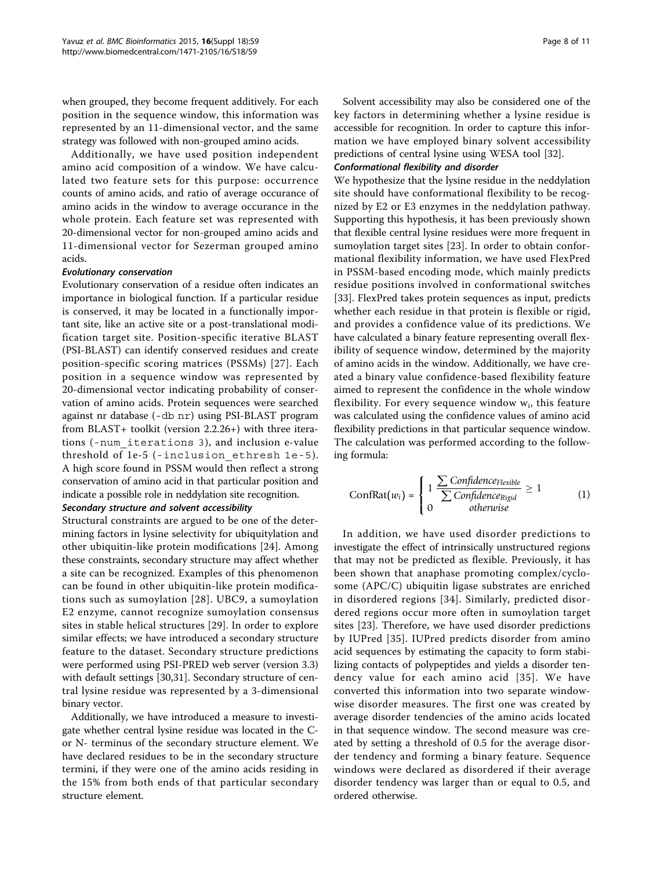when grouped, they become frequent additively. For each position in the sequence window, this information was represented by an 11-dimensional vector, and the same strategy was followed with non-grouped amino acids.

Additionally, we have used position independent amino acid composition of a window. We have calculated two feature sets for this purpose: occurrence counts of amino acids, and ratio of average occurance of amino acids in the window to average occurance in the whole protein. Each feature set was represented with 20-dimensional vector for non-grouped amino acids and 11-dimensional vector for Sezerman grouped amino acids.

#### Evolutionary conservation

Evolutionary conservation of a residue often indicates an importance in biological function. If a particular residue is conserved, it may be located in a functionally important site, like an active site or a post-translational modification target site. Position-specific iterative BLAST (PSI-BLAST) can identify conserved residues and create position-specific scoring matrices (PSSMs) [[27\]](#page-10-0). Each position in a sequence window was represented by 20-dimensional vector indicating probability of conservation of amino acids. Protein sequences were searched against nr database (-db nr) using PSI-BLAST program from BLAST+ toolkit (version 2.2.26+) with three iterations (-num\_iterations 3), and inclusion e-value threshold of 1e-5 (-inclusion\_ethresh 1e-5). A high score found in PSSM would then reflect a strong conservation of amino acid in that particular position and indicate a possible role in neddylation site recognition.

# Secondary structure and solvent accessibility

Structural constraints are argued to be one of the determining factors in lysine selectivity for ubiquitylation and other ubiquitin-like protein modifications [[24\]](#page-10-0). Among these constraints, secondary structure may affect whether a site can be recognized. Examples of this phenomenon can be found in other ubiquitin-like protein modifications such as sumoylation [[28](#page-10-0)]. UBC9, a sumoylation E2 enzyme, cannot recognize sumoylation consensus sites in stable helical structures [[29\]](#page-10-0). In order to explore similar effects; we have introduced a secondary structure feature to the dataset. Secondary structure predictions were performed using PSI-PRED web server (version 3.3) with default settings [\[30,31](#page-10-0)]. Secondary structure of central lysine residue was represented by a 3-dimensional binary vector.

Additionally, we have introduced a measure to investigate whether central lysine residue was located in the Cor N- terminus of the secondary structure element. We have declared residues to be in the secondary structure termini, if they were one of the amino acids residing in the 15% from both ends of that particular secondary structure element.

Solvent accessibility may also be considered one of the key factors in determining whether a lysine residue is accessible for recognition. In order to capture this information we have employed binary solvent accessibility predictions of central lysine using WESA tool [\[32](#page-10-0)].

# Conformational flexibility and disorder

We hypothesize that the lysine residue in the neddylation site should have conformational flexibility to be recognized by E2 or E3 enzymes in the neddylation pathway. Supporting this hypothesis, it has been previously shown that flexible central lysine residues were more frequent in sumoylation target sites [[23\]](#page-10-0). In order to obtain conformational flexibility information, we have used FlexPred in PSSM-based encoding mode, which mainly predicts residue positions involved in conformational switches [[33\]](#page-10-0). FlexPred takes protein sequences as input, predicts whether each residue in that protein is flexible or rigid, and provides a confidence value of its predictions. We have calculated a binary feature representing overall flexibility of sequence window, determined by the majority of amino acids in the window. Additionally, we have created a binary value confidence-based flexibility feature aimed to represent the confidence in the whole window flexibility. For every sequence window  $w_i$ , this feature was calculated using the confidence values of amino acid flexibility predictions in that particular sequence window. The calculation was performed according to the following formula:

$$
\text{ConfRat}(w_i) = \begin{cases} 1 & \frac{\sum \text{Confidence}_{\text{Flexible}}}{\sum \text{Confidence}_{\text{Rigid}}} \ge 1\\ 0 & \text{otherwise} \end{cases}
$$
(1)

In addition, we have used disorder predictions to investigate the effect of intrinsically unstructured regions that may not be predicted as flexible. Previously, it has been shown that anaphase promoting complex/cyclosome (APC/C) ubiquitin ligase substrates are enriched in disordered regions [[34](#page-10-0)]. Similarly, predicted disordered regions occur more often in sumoylation target sites [\[23](#page-10-0)]. Therefore, we have used disorder predictions by IUPred [[35](#page-10-0)]. IUPred predicts disorder from amino acid sequences by estimating the capacity to form stabilizing contacts of polypeptides and yields a disorder tendency value for each amino acid [[35\]](#page-10-0). We have converted this information into two separate windowwise disorder measures. The first one was created by average disorder tendencies of the amino acids located in that sequence window. The second measure was created by setting a threshold of 0.5 for the average disorder tendency and forming a binary feature. Sequence windows were declared as disordered if their average disorder tendency was larger than or equal to 0.5, and ordered otherwise.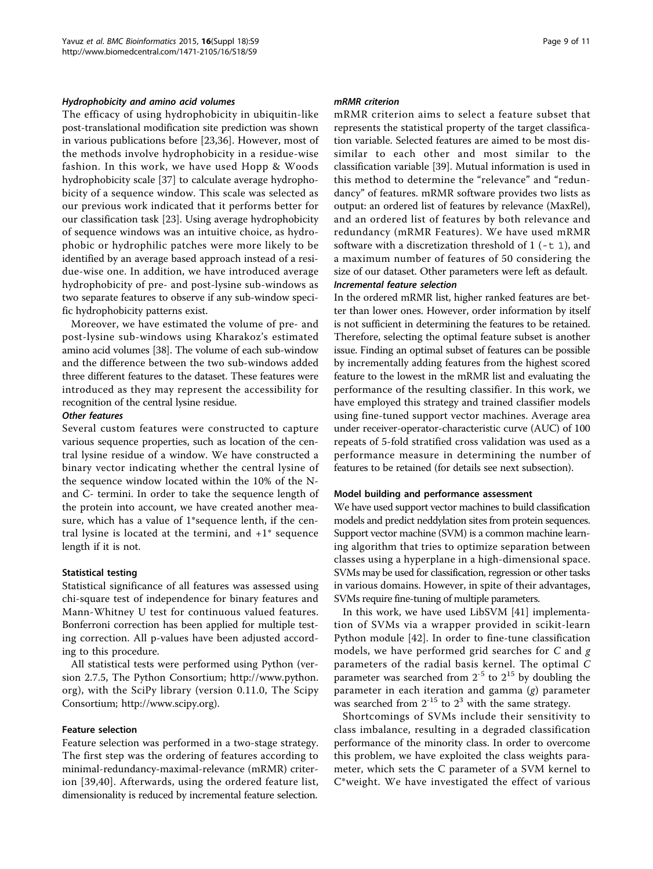#### Hydrophobicity and amino acid volumes

The efficacy of using hydrophobicity in ubiquitin-like post-translational modification site prediction was shown in various publications before [\[23,36](#page-10-0)]. However, most of the methods involve hydrophobicity in a residue-wise fashion. In this work, we have used Hopp & Woods hydrophobicity scale [[37](#page-10-0)] to calculate average hydrophobicity of a sequence window. This scale was selected as our previous work indicated that it performs better for our classification task [[23\]](#page-10-0). Using average hydrophobicity of sequence windows was an intuitive choice, as hydrophobic or hydrophilic patches were more likely to be identified by an average based approach instead of a residue-wise one. In addition, we have introduced average hydrophobicity of pre- and post-lysine sub-windows as two separate features to observe if any sub-window specific hydrophobicity patterns exist.

Moreover, we have estimated the volume of pre- and post-lysine sub-windows using Kharakoz's estimated amino acid volumes [\[38\]](#page-10-0). The volume of each sub-window and the difference between the two sub-windows added three different features to the dataset. These features were introduced as they may represent the accessibility for recognition of the central lysine residue.

#### Other features

Several custom features were constructed to capture various sequence properties, such as location of the central lysine residue of a window. We have constructed a binary vector indicating whether the central lysine of the sequence window located within the 10% of the Nand C- termini. In order to take the sequence length of the protein into account, we have created another measure, which has a value of 1\*sequence lenth, if the central lysine is located at the termini, and  $+1^*$  sequence length if it is not.

#### Statistical testing

Statistical significance of all features was assessed using chi-square test of independence for binary features and Mann-Whitney U test for continuous valued features. Bonferroni correction has been applied for multiple testing correction. All p-values have been adjusted according to this procedure.

All statistical tests were performed using Python (version 2.7.5, The Python Consortium; [http://www.python.](http://www.python.org) [org\)](http://www.python.org), with the SciPy library (version 0.11.0, The Scipy Consortium;<http://www.scipy.org>).

#### Feature selection

Feature selection was performed in a two-stage strategy. The first step was the ordering of features according to minimal-redundancy-maximal-relevance (mRMR) criterion [[39](#page-10-0),[40](#page-10-0)]. Afterwards, using the ordered feature list, dimensionality is reduced by incremental feature selection.

#### mRMR criterion

mRMR criterion aims to select a feature subset that represents the statistical property of the target classification variable. Selected features are aimed to be most dissimilar to each other and most similar to the classification variable [[39](#page-10-0)]. Mutual information is used in this method to determine the "relevance" and "redundancy" of features. mRMR software provides two lists as output: an ordered list of features by relevance (MaxRel), and an ordered list of features by both relevance and redundancy (mRMR Features). We have used mRMR software with a discretization threshold of  $1$  (-t 1), and a maximum number of features of 50 considering the size of our dataset. Other parameters were left as default. Incremental feature selection

In the ordered mRMR list, higher ranked features are better than lower ones. However, order information by itself is not sufficient in determining the features to be retained. Therefore, selecting the optimal feature subset is another issue. Finding an optimal subset of features can be possible by incrementally adding features from the highest scored feature to the lowest in the mRMR list and evaluating the performance of the resulting classifier. In this work, we have employed this strategy and trained classifier models using fine-tuned support vector machines. Average area under receiver-operator-characteristic curve (AUC) of 100 repeats of 5-fold stratified cross validation was used as a performance measure in determining the number of features to be retained (for details see next subsection).

#### Model building and performance assessment

We have used support vector machines to build classification models and predict neddylation sites from protein sequences. Support vector machine (SVM) is a common machine learning algorithm that tries to optimize separation between classes using a hyperplane in a high-dimensional space. SVMs may be used for classification, regression or other tasks in various domains. However, in spite of their advantages, SVMs require fine-tuning of multiple parameters.

In this work, we have used LibSVM [[41\]](#page-10-0) implementation of SVMs via a wrapper provided in scikit-learn Python module [\[42](#page-10-0)]. In order to fine-tune classification models, we have performed grid searches for C and g parameters of the radial basis kernel. The optimal C parameter was searched from  $2^{-5}$  to  $2^{15}$  by doubling the parameter in each iteration and gamma (g) parameter was searched from  $2^{-15}$  to  $2^3$  with the same strategy.

Shortcomings of SVMs include their sensitivity to class imbalance, resulting in a degraded classification performance of the minority class. In order to overcome this problem, we have exploited the class weights parameter, which sets the C parameter of a SVM kernel to C\*weight. We have investigated the effect of various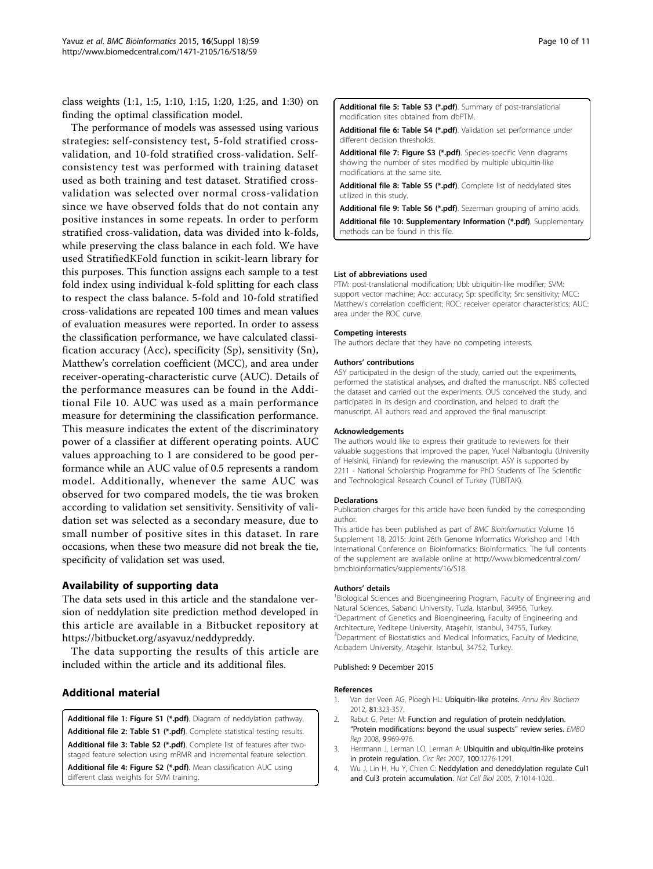<span id="page-9-0"></span>class weights (1:1, 1:5, 1:10, 1:15, 1:20, 1:25, and 1:30) on finding the optimal classification model.

The performance of models was assessed using various strategies: self-consistency test, 5-fold stratified crossvalidation, and 10-fold stratified cross-validation. Selfconsistency test was performed with training dataset used as both training and test dataset. Stratified crossvalidation was selected over normal cross-validation since we have observed folds that do not contain any positive instances in some repeats. In order to perform stratified cross-validation, data was divided into k-folds, while preserving the class balance in each fold. We have used StratifiedKFold function in scikit-learn library for this purposes. This function assigns each sample to a test fold index using individual k-fold splitting for each class to respect the class balance. 5-fold and 10-fold stratified cross-validations are repeated 100 times and mean values of evaluation measures were reported. In order to assess the classification performance, we have calculated classification accuracy (Acc), specificity (Sp), sensitivity (Sn), Matthew's correlation coefficient (MCC), and area under receiver-operating-characteristic curve (AUC). Details of the performance measures can be found in the Additional File 10. AUC was used as a main performance measure for determining the classification performance. This measure indicates the extent of the discriminatory power of a classifier at different operating points. AUC values approaching to 1 are considered to be good performance while an AUC value of 0.5 represents a random model. Additionally, whenever the same AUC was observed for two compared models, the tie was broken according to validation set sensitivity. Sensitivity of validation set was selected as a secondary measure, due to small number of positive sites in this dataset. In rare occasions, when these two measure did not break the tie, specificity of validation set was used.

## Availability of supporting data

The data sets used in this article and the standalone version of neddylation site prediction method developed in this article are available in a Bitbucket repository at <https://bitbucket.org/asyavuz/neddypreddy>.

The data supporting the results of this article are included within the article and its additional files.

# Additional material

[Additional file 1: F](http://www.biomedcentral.com/content/supplementary/1471-2105-16-S18-S9-S1.pdf)igure S1 (\*.pdf). Diagram of neddylation pathway. [Additional file 2: T](http://www.biomedcentral.com/content/supplementary/1471-2105-16-S18-S9-S2.pdf)able S1 (\*.pdf). Complete statistical testing results. [Additional file 3: T](http://www.biomedcentral.com/content/supplementary/1471-2105-16-S18-S9-S3.pdf)able S2 (\*.pdf). Complete list of features after twostaged feature selection using mRMR and incremental feature selection. [Additional file 4: F](http://www.biomedcentral.com/content/supplementary/1471-2105-16-S18-S9-S4.pdf)igure S2 (\*.pdf). Mean classification AUC using different class weights for SVM training.

[Additional file 5: T](http://www.biomedcentral.com/content/supplementary/1471-2105-16-S18-S9-S5.pdf)able S3 (\*.pdf). Summary of post-translational modification sites obtained from dbPTM.

[Additional file 6: T](http://www.biomedcentral.com/content/supplementary/1471-2105-16-S18-S9-S6.pdf)able S4 (\*.pdf). Validation set performance under different decision thresholds.

[Additional file 7: F](http://www.biomedcentral.com/content/supplementary/1471-2105-16-S18-S9-S7.pdf)igure S3 (\*.pdf). Species-specific Venn diagrams showing the number of sites modified by multiple ubiquitin-like modifications at the same site.

[Additional file 8: T](http://www.biomedcentral.com/content/supplementary/1471-2105-16-S18-S9-S8.pdf)able S5 (\*.pdf). Complete list of neddylated sites utilized in this study.

[Additional file 9: T](http://www.biomedcentral.com/content/supplementary/1471-2105-16-S18-S9-S9.pdf)able S6 (\*.pdf). Sezerman grouping of amino acids.

[Additional file 10: S](http://www.biomedcentral.com/content/supplementary/1471-2105-16-S18-S9-S10.pdf)upplementary Information (\*.pdf). Supplementary methods can be found in this file.

#### List of abbreviations used

PTM: post-translational modification; Ubl: ubiquitin-like modifier; SVM: support vector machine; Acc: accuracy; Sp: specificity; Sn: sensitivity; MCC: Matthew's correlation coefficient; ROC: receiver operator characteristics; AUC: area under the ROC curve.

#### Competing interests

The authors declare that they have no competing interests.

#### Authors' contributions

ASY participated in the design of the study, carried out the experiments, performed the statistical analyses, and drafted the manuscript. NBS collected the dataset and carried out the experiments. OUS conceived the study, and participated in its design and coordination, and helped to draft the manuscript. All authors read and approved the final manuscript.

#### Acknowledgements

The authors would like to express their gratitude to reviewers for their valuable suggestions that improved the paper, Yucel Nalbantoglu (University of Helsinki, Finland) for reviewing the manuscript. ASY is supported by 2211 - National Scholarship Programme for PhD Students of The Scientific and Technological Research Council of Turkey (TÜBİTAK).

#### Declarations

Publication charges for this article have been funded by the corresponding author.

This article has been published as part of BMC Bioinformatics Volume 16 Supplement 18, 2015: Joint 26th Genome Informatics Workshop and 14th International Conference on Bioinformatics: Bioinformatics. The full contents of the supplement are available online at [http://www.biomedcentral.com/](http://www.biomedcentral.com/bmcbioinformatics/supplements/16/S18) [bmcbioinformatics/supplements/16/S18.](http://www.biomedcentral.com/bmcbioinformatics/supplements/16/S18)

#### Authors' details <sup>1</sup>

<sup>1</sup>Biological Sciences and Bioengineering Program, Faculty of Engineering and Natural Sciences, Sabancı University, Tuzla, Istanbul, 34956, Turkey. <sup>2</sup>Department of Genetics and Bioengineering, Faculty of Engineering and Architecture, Yeditepe University, Ataşehir, Istanbul, 34755, Turkey. <sup>3</sup>Department of Biostatistics and Medical Informatics, Faculty of Medicine, Acıbadem University, Ataşehir, Istanbul, 34752, Turkey.

#### Published: 9 December 2015

#### References

- 1. Van der Veen AG, Ploegh HL: Ubiquitin-like proteins. Annu Rev Biochem 2012, 81:323-357.
- 2. Rabut G, Peter M: Function and regulation of protein neddylation. "Protein modifications: beyond the usual suspects" review series. EMBO Rep 2008, 9:969-976.
- 3. Herrmann J, Lerman LO, Lerman A: Ubiquitin and ubiquitin-like proteins in protein regulation. Circ Res 2007, 100:1276-1291.
- 4. Wu J, Lin H, Hu Y, Chien C: Neddylation and deneddylation regulate Cul1 and Cul3 protein accumulation. Nat Cell Biol 2005, 7:1014-1020.